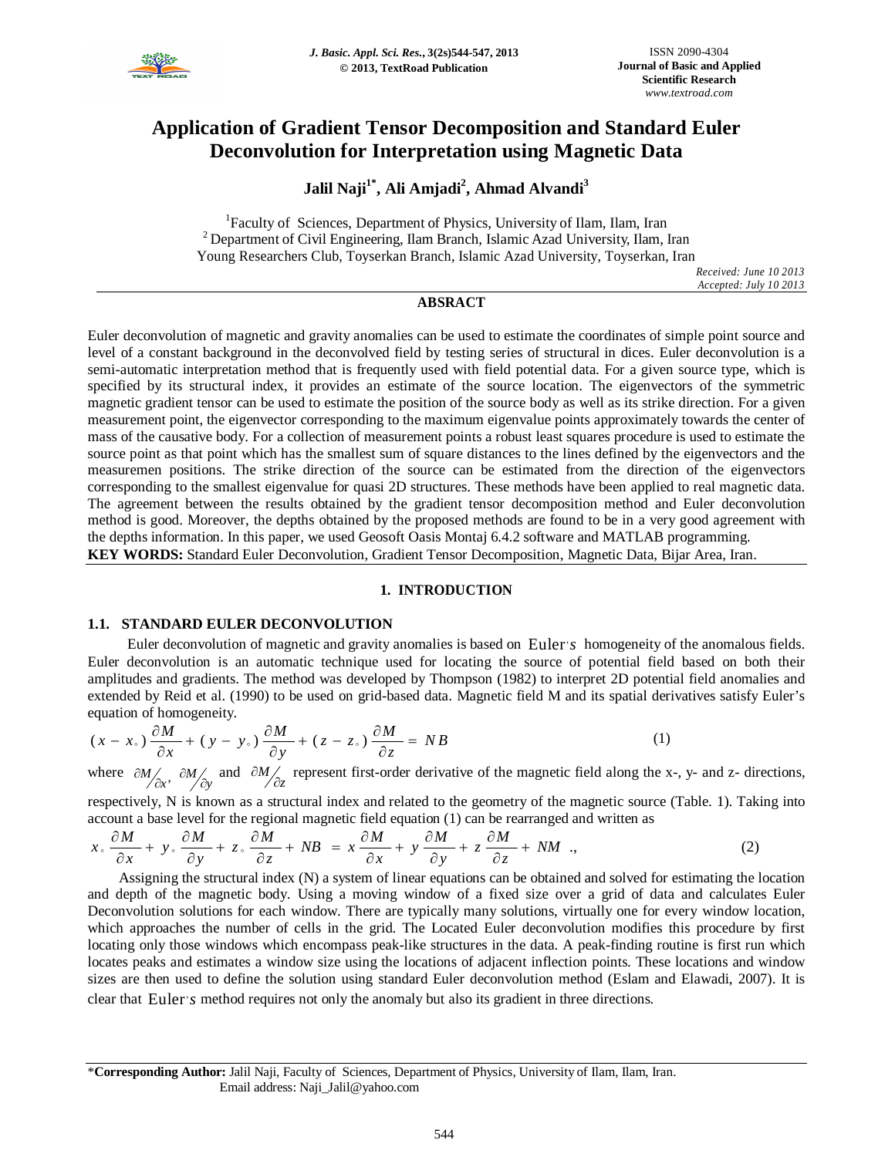

# **Application of Gradient Tensor Decomposition and Standard Euler Deconvolution for Interpretation using Magnetic Data**

**Jalil Naji1\* , Ali Amjadi<sup>2</sup> , Ahmad Alvandi<sup>3</sup>**

<sup>1</sup>Faculty of Sciences, Department of Physics, University of Ilam, Ilam, Iran <sup>2</sup> Department of Civil Engineering, Ilam Branch, Islamic Azad University, Ilam, Iran Young Researchers Club, Toyserkan Branch, Islamic Azad University, Toyserkan, Iran

*Received: June 10 2013 Accepted: July 10 2013*

### **ABSRACT**

Euler deconvolution of magnetic and gravity anomalies can be used to estimate the coordinates of simple point source and level of a constant background in the deconvolved field by testing series of structural in dices. Euler deconvolution is a semi-automatic interpretation method that is frequently used with field potential data. For a given source type, which is specified by its structural index, it provides an estimate of the source location. The eigenvectors of the symmetric magnetic gradient tensor can be used to estimate the position of the source body as well as its strike direction. For a given measurement point, the eigenvector corresponding to the maximum eigenvalue points approximately towards the center of mass of the causative body. For a collection of measurement points a robust least squares procedure is used to estimate the source point as that point which has the smallest sum of square distances to the lines defined by the eigenvectors and the measuremen positions. The strike direction of the source can be estimated from the direction of the eigenvectors corresponding to the smallest eigenvalue for quasi 2D structures. These methods have been applied to real magnetic data. The agreement between the results obtained by the gradient tensor decomposition method and Euler deconvolution method is good. Moreover, the depths obtained by the proposed methods are found to be in a very good agreement with the depths information. In this paper, we used Geosoft Oasis Montaj 6.4.2 software and MATLAB programming. **KEY WORDS:** Standard Euler Deconvolution, Gradient Tensor Decomposition, Magnetic Data, Bijar Area, Iran.

### **1. INTRODUCTION**

### **1.1. STANDARD EULER DECONVOLUTION**

Euler deconvolution of magnetic and gravity anomalies is based on Euler *s* homogeneity of the anomalous fields. Euler deconvolution is an automatic technique used for locating the source of potential field based on both their amplitudes and gradients. The method was developed by Thompson (1982) to interpret 2D potential field anomalies and extended by Reid et al. (1990) to be used on grid-based data. Magnetic field M and its spatial derivatives satisfy Euler's equation of homogeneity.

$$
(x - x_*) \frac{\partial M}{\partial x} + (y - y_*) \frac{\partial M}{\partial y} + (z - z_*) \frac{\partial M}{\partial z} = NB
$$
 (1)

where  $\partial M/\partial x$ ,  $\partial M/\partial y$  and  $\partial M/\partial z$  represent first-order derivative of the magnetic field along the x-, y- and z- directions,

respectively, N is known as a structural index and related to the geometry of the magnetic source (Table. 1). Taking into account a base level for the regional magnetic field equation (1) can be rearranged and written as

$$
x \cdot \frac{\partial M}{\partial x} + y \cdot \frac{\partial M}{\partial y} + z \cdot \frac{\partial M}{\partial z} + NB = x \frac{\partial M}{\partial x} + y \frac{\partial M}{\partial y} + z \frac{\partial M}{\partial z} + NM \quad , \tag{2}
$$

Assigning the structural index (N) a system of linear equations can be obtained and solved for estimating the location and depth of the magnetic body. Using a moving window of a fixed size over a grid of data and calculates Euler Deconvolution solutions for each window. There are typically many solutions, virtually one for every window location, which approaches the number of cells in the grid. The Located Euler deconvolution modifies this procedure by first locating only those windows which encompass peak-like structures in the data. A peak-finding routine is first run which locates peaks and estimates a window size using the locations of adjacent inflection points. These locations and window sizes are then used to define the solution using standard Euler deconvolution method (Eslam and Elawadi, 2007). It is clear that Euler's method requires not only the anomaly but also its gradient in three directions.

<sup>\*</sup>**Corresponding Author:** Jalil Naji, Faculty of Sciences, Department of Physics, University of Ilam, Ilam, Iran. Email address: Naji\_Jalil@yahoo.com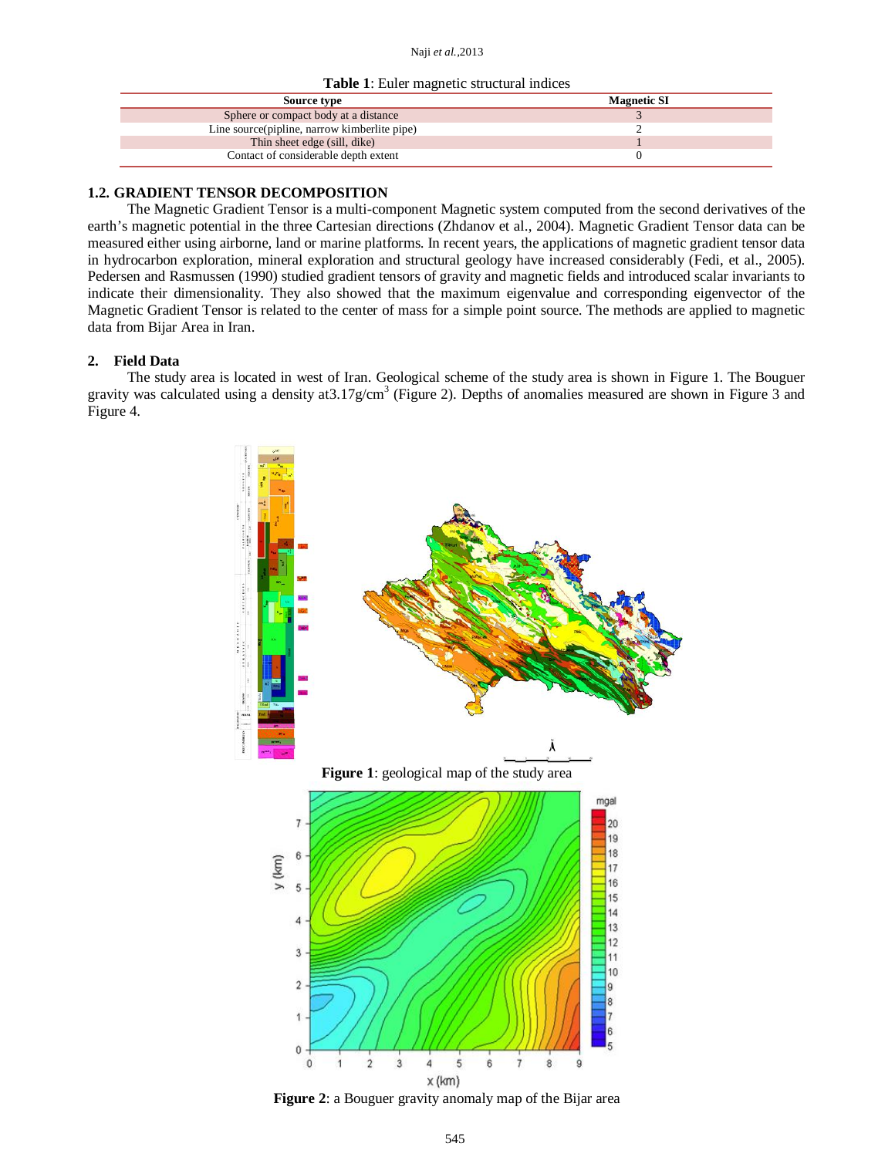#### Naji *et al.,*2013

**Table 1**: Euler magnetic structural indices

| <b>Magnetic SI</b> |  |
|--------------------|--|
|                    |  |
|                    |  |
|                    |  |
|                    |  |
|                    |  |

## **1.2. GRADIENT TENSOR DECOMPOSITION**

The Magnetic Gradient Tensor is a multi-component Magnetic system computed from the second derivatives of the earth's magnetic potential in the three Cartesian directions (Zhdanov et al., 2004). Magnetic Gradient Tensor data can be measured either using airborne, land or marine platforms. In recent years, the applications of magnetic gradient tensor data in hydrocarbon exploration, mineral exploration and structural geology have increased considerably (Fedi, et al., 2005). Pedersen and Rasmussen (1990) studied gradient tensors of gravity and magnetic fields and introduced scalar invariants to indicate their dimensionality. They also showed that the maximum eigenvalue and corresponding eigenvector of the Magnetic Gradient Tensor is related to the center of mass for a simple point source. The methods are applied to magnetic data from Bijar Area in Iran.

# **2. Field Data**

The study area is located in west of Iran. Geological scheme of the study area is shown in Figure 1. The Bouguer gravity was calculated using a density at 3.17g/cm<sup>3</sup> (Figure 2). Depths of anomalies measured are shown in Figure 3 and Figure 4.



**Figure 2**: a Bouguer gravity anomaly map of the Bijar area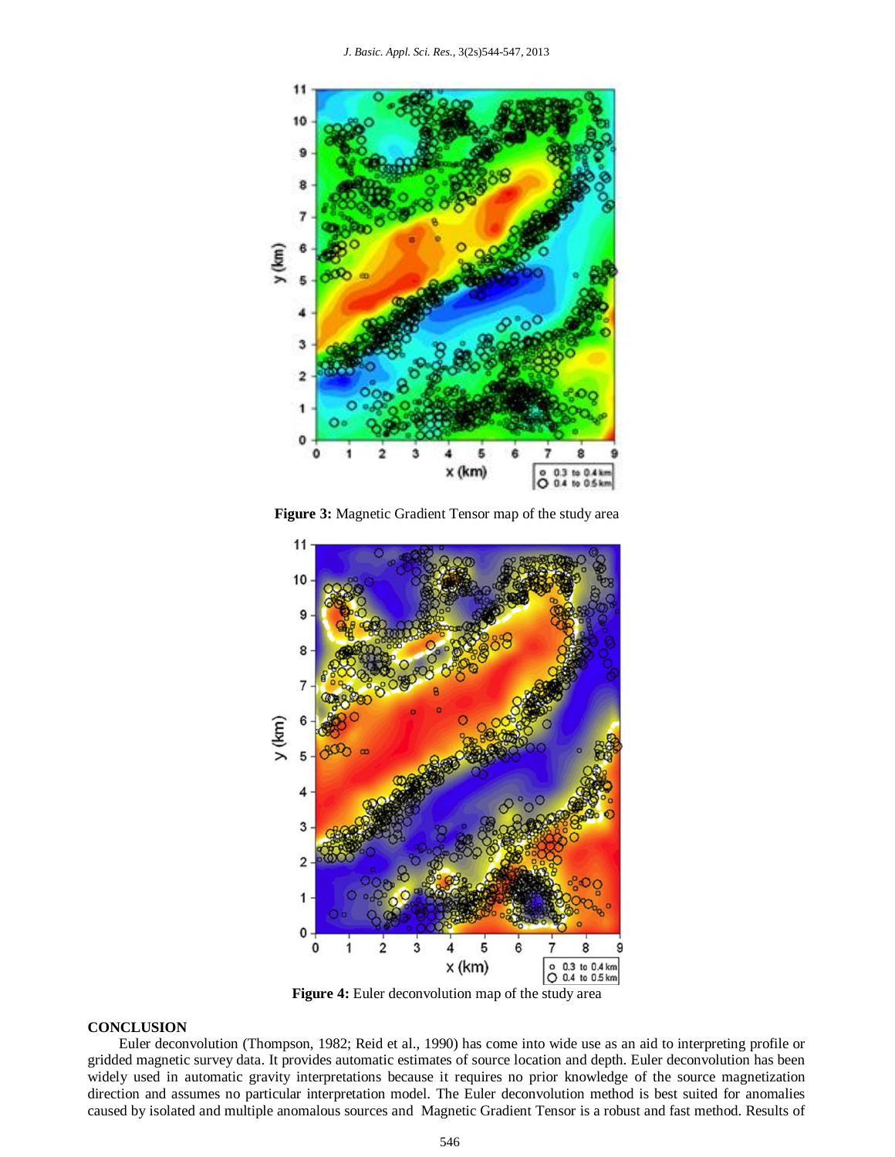

**Figure 3:** Magnetic Gradient Tensor map of the study area



**Figure 4:** Euler deconvolution map of the study area

#### **CONCLUSION**

Euler deconvolution (Thompson, 1982; Reid et al., 1990) has come into wide use as an aid to interpreting profile or gridded magnetic survey data. It provides automatic estimates of source location and depth. Euler deconvolution has been widely used in automatic gravity interpretations because it requires no prior knowledge of the source magnetization direction and assumes no particular interpretation model. The Euler deconvolution method is best suited for anomalies caused by isolated and multiple anomalous sources and Magnetic Gradient Tensor is a robust and fast method. Results of